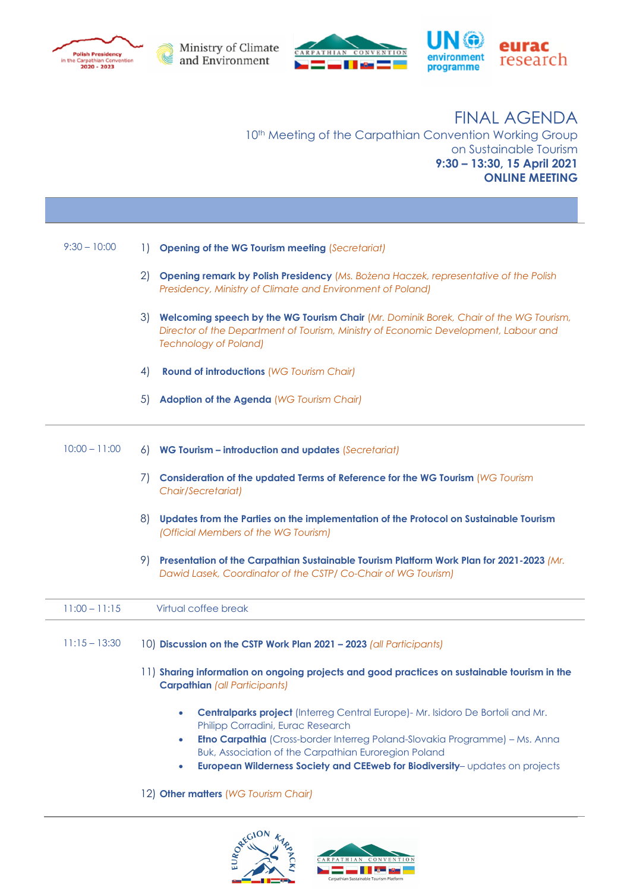





 FINAL AGENDA 10th Meeting of the Carpathian Convention Working Group on Sustainable Tourism **9:30 – 13:30, 15 April 2021 ONLINE MEETING**

| $9:30 - 10:00$  | 1)<br><b>Opening of the WG Tourism meeting (Secretariat)</b>                                                                                                                                                                                                                                                                                                                     |
|-----------------|----------------------------------------------------------------------------------------------------------------------------------------------------------------------------------------------------------------------------------------------------------------------------------------------------------------------------------------------------------------------------------|
|                 | $\mathbf{2}$<br>Opening remark by Polish Presidency (Ms. Bożena Haczek, representative of the Polish<br>Presidency, Ministry of Climate and Environment of Poland)                                                                                                                                                                                                               |
|                 | 3)<br>Welcoming speech by the WG Tourism Chair (Mr. Dominik Borek, Chair of the WG Tourism,<br>Director of the Department of Tourism, Ministry of Economic Development, Labour and<br><b>Technology of Poland)</b>                                                                                                                                                               |
|                 | 4)<br><b>Round of introductions (WG Tourism Chair)</b>                                                                                                                                                                                                                                                                                                                           |
|                 | 5)<br><b>Adoption of the Agenda (WG Tourism Chair)</b>                                                                                                                                                                                                                                                                                                                           |
| $10:00 - 11:00$ | WG Tourism - introduction and updates (Secretariat)<br>6)                                                                                                                                                                                                                                                                                                                        |
|                 | 7)<br>Consideration of the updated Terms of Reference for the WG Tourism (WG Tourism<br>Chair/Secretariat)                                                                                                                                                                                                                                                                       |
|                 | 8)<br>Updates from the Parties on the implementation of the Protocol on Sustainable Tourism<br>(Official Members of the WG Tourism)                                                                                                                                                                                                                                              |
|                 | 9)<br>Presentation of the Carpathian Sustainable Tourism Platform Work Plan for 2021-2023 (Mr.<br>Dawid Lasek, Coordinator of the CSTP/ Co-Chair of WG Tourism)                                                                                                                                                                                                                  |
| $11:00 - 11:15$ | Virtual coffee break                                                                                                                                                                                                                                                                                                                                                             |
| $11:15 - 13:30$ | 10) Discussion on the CSTP Work Plan 2021 - 2023 (all Participants)                                                                                                                                                                                                                                                                                                              |
|                 | 11) Sharing information on ongoing projects and good practices on sustainable tourism in the<br><b>Carpathian (all Participants)</b>                                                                                                                                                                                                                                             |
|                 | Centralparks project (Interreg Central Europe) - Mr. Isidoro De Bortoli and Mr.<br>$\bullet$<br>Philipp Corradini, Eurac Research<br><b>Etno Carpathia</b> (Cross-border Interreg Poland-Slovakia Programme) - Ms. Anna<br>۰<br>Buk, Association of the Carpathian Euroregion Poland<br>European Wilderness Society and CEEweb for Biodiversity-updates on projects<br>$\bullet$ |
|                 | 12) Other matters (WG Tourism Chair)                                                                                                                                                                                                                                                                                                                                             |